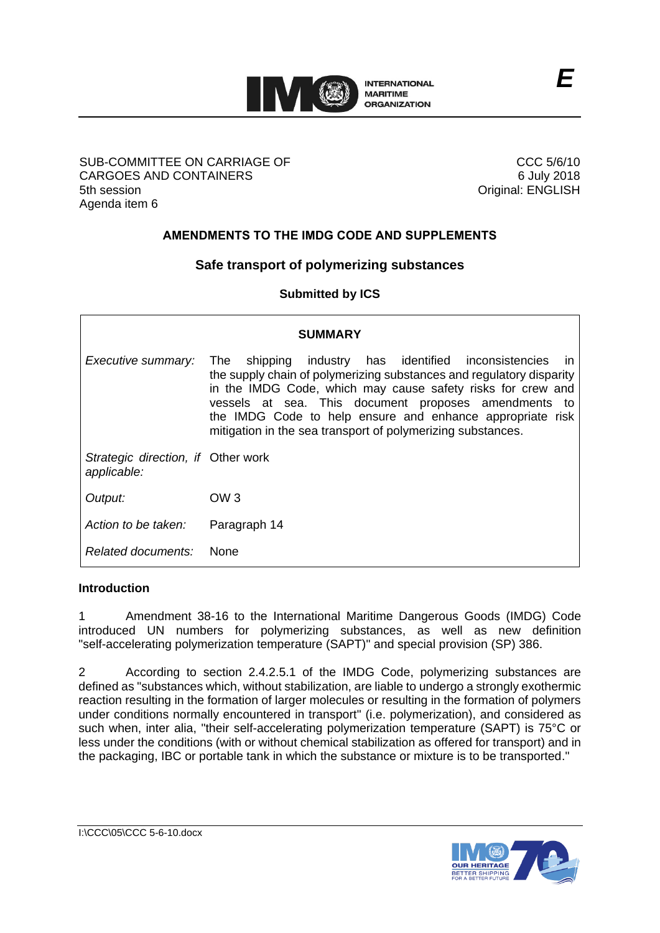

#### SUB-COMMITTEE ON CARRIAGE OF CARGOES AND CONTAINERS 5th session Agenda item 6

CCC 5/6/10 6 July 2018 Original: ENGLISH

## **AMENDMENTS TO THE IMDG CODE AND SUPPLEMENTS**

# **Safe transport of polymerizing substances**

**Submitted by ICS**

| <b>SUMMARY</b>                                    |                                                                                                                                                                                                                                                                                                                                                                                            |
|---------------------------------------------------|--------------------------------------------------------------------------------------------------------------------------------------------------------------------------------------------------------------------------------------------------------------------------------------------------------------------------------------------------------------------------------------------|
| Executive summary:                                | shipping industry has identified inconsistencies<br>The<br>- in<br>the supply chain of polymerizing substances and regulatory disparity<br>in the IMDG Code, which may cause safety risks for crew and<br>vessels at sea. This document proposes amendments to<br>the IMDG Code to help ensure and enhance appropriate risk<br>mitigation in the sea transport of polymerizing substances. |
| Strategic direction, if Other work<br>applicable: |                                                                                                                                                                                                                                                                                                                                                                                            |
| Output:                                           | OW <sub>3</sub>                                                                                                                                                                                                                                                                                                                                                                            |
| Action to be taken:                               | Paragraph 14                                                                                                                                                                                                                                                                                                                                                                               |
| Related documents:                                | <b>None</b>                                                                                                                                                                                                                                                                                                                                                                                |

### **Introduction**

1 Amendment 38-16 to the International Maritime Dangerous Goods (IMDG) Code introduced UN numbers for polymerizing substances, as well as new definition "self-accelerating polymerization temperature (SAPT)" and special provision (SP) 386.

2 According to section 2.4.2.5.1 of the IMDG Code, polymerizing substances are defined as "substances which, without stabilization, are liable to undergo a strongly exothermic reaction resulting in the formation of larger molecules or resulting in the formation of polymers under conditions normally encountered in transport" (i.e. polymerization), and considered as such when, inter alia, "their self-accelerating polymerization temperature (SAPT) is 75°C or less under the conditions (with or without chemical stabilization as offered for transport) and in the packaging, IBC or portable tank in which the substance or mixture is to be transported."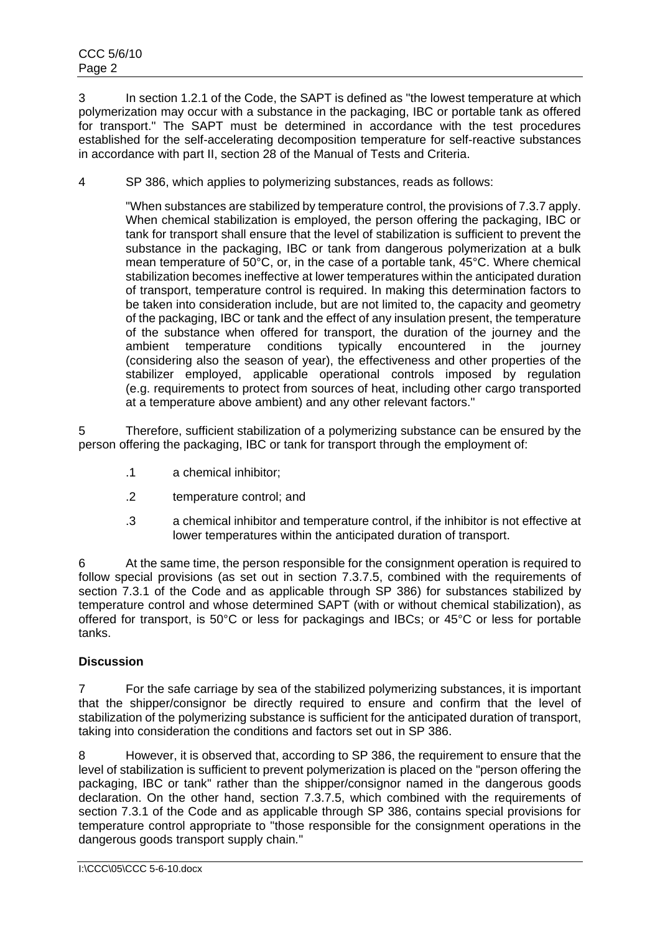3 In section 1.2.1 of the Code, the SAPT is defined as "the lowest temperature at which polymerization may occur with a substance in the packaging, IBC or portable tank as offered for transport." The SAPT must be determined in accordance with the test procedures established for the self-accelerating decomposition temperature for self-reactive substances in accordance with part II, section 28 of the Manual of Tests and Criteria.

4 SP 386, which applies to polymerizing substances, reads as follows:

"When substances are stabilized by temperature control, the provisions of 7.3.7 apply. When chemical stabilization is employed, the person offering the packaging, IBC or tank for transport shall ensure that the level of stabilization is sufficient to prevent the substance in the packaging, IBC or tank from dangerous polymerization at a bulk mean temperature of 50°C, or, in the case of a portable tank, 45°C. Where chemical stabilization becomes ineffective at lower temperatures within the anticipated duration of transport, temperature control is required. In making this determination factors to be taken into consideration include, but are not limited to, the capacity and geometry of the packaging, IBC or tank and the effect of any insulation present, the temperature of the substance when offered for transport, the duration of the journey and the ambient temperature conditions typically encountered in the journey (considering also the season of year), the effectiveness and other properties of the stabilizer employed, applicable operational controls imposed by regulation (e.g. requirements to protect from sources of heat, including other cargo transported at a temperature above ambient) and any other relevant factors."

5 Therefore, sufficient stabilization of a polymerizing substance can be ensured by the person offering the packaging, IBC or tank for transport through the employment of:

- .1 a chemical inhibitor;
- .2 temperature control; and
- .3 a chemical inhibitor and temperature control, if the inhibitor is not effective at lower temperatures within the anticipated duration of transport.

6 At the same time, the person responsible for the consignment operation is required to follow special provisions (as set out in section 7.3.7.5, combined with the requirements of section 7.3.1 of the Code and as applicable through SP 386) for substances stabilized by temperature control and whose determined SAPT (with or without chemical stabilization), as offered for transport, is 50°C or less for packagings and IBCs; or 45°C or less for portable tanks.

### **Discussion**

7 For the safe carriage by sea of the stabilized polymerizing substances, it is important that the shipper/consignor be directly required to ensure and confirm that the level of stabilization of the polymerizing substance is sufficient for the anticipated duration of transport, taking into consideration the conditions and factors set out in SP 386.

8 However, it is observed that, according to SP 386, the requirement to ensure that the level of stabilization is sufficient to prevent polymerization is placed on the "person offering the packaging, IBC or tank" rather than the shipper/consignor named in the dangerous goods declaration. On the other hand, section 7.3.7.5, which combined with the requirements of section 7.3.1 of the Code and as applicable through SP 386, contains special provisions for temperature control appropriate to "those responsible for the consignment operations in the dangerous goods transport supply chain*.*"